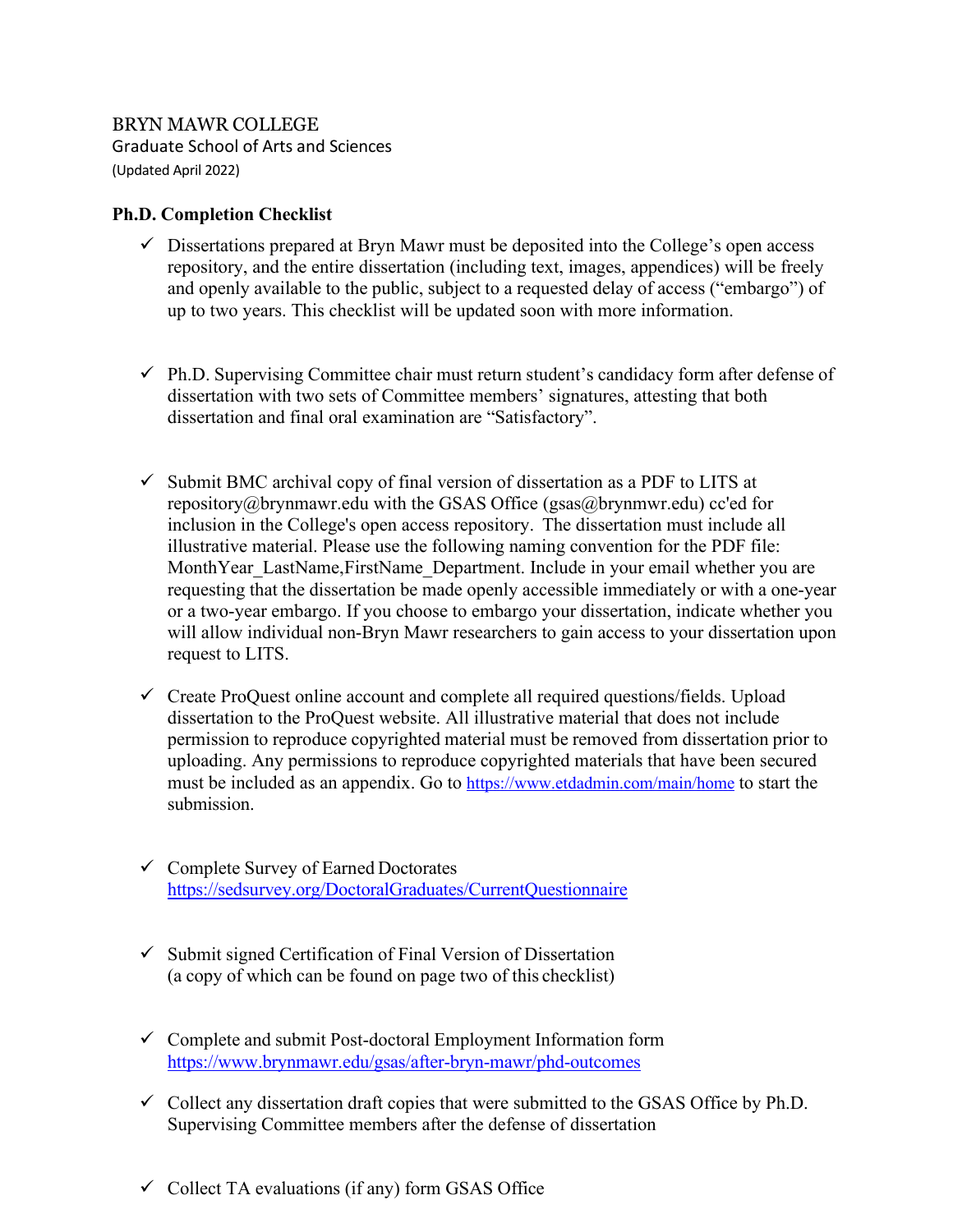BRYN MAWR COLLEGE Graduate School of Arts and Sciences (Updated April 2022)

## **Ph.D. Completion Checklist**

- $\checkmark$  Dissertations prepared at Bryn Mawr must be deposited into the College's open access repository, and the entire dissertation (including text, images, appendices) will be freely and openly available to the public, subject to a requested delay of access ("embargo") of up to two years. This checklist will be updated soon with more information.
- $\checkmark$  Ph.D. Supervising Committee chair must return student's candidacy form after defense of dissertation with two sets of Committee members' signatures, attesting that both dissertation and final oral examination are "Satisfactory".
- $\checkmark$  Submit BMC archival copy of final version of dissertation as a PDF to LITS at [repository@brynmawr.edu w](mailto:repository@brynmawr.edu)ith the GSAS Office (gsas@brynmwr.edu) cc'ed for inclusion in the College's open access repository. The dissertation must include all illustrative material. Please use the following naming convention for the PDF file: MonthYear\_LastName,FirstName\_Department. Include in your email whether you are requesting that the dissertation be made openly accessible immediately or with a one-year or a two-year embargo. If you choose to embargo your dissertation, indicate whether you will allow individual non-Bryn Mawr researchers to gain access to your dissertation upon request to LITS.
- $\checkmark$  Create ProQuest online account and complete all required questions/fields. Upload dissertation to the ProQuest website. All illustrative material that does not include permission to reproduce copyrighted material must be removed from dissertation prior to uploading. Any permissions to reproduce copyrighted materials that have been secured must be included as an appendix. Go to<https://www.etdadmin.com/main/home> to start the submission.
- $\checkmark$  Complete Survey of Earned Doctorates <https://sedsurvey.org/DoctoralGraduates/CurrentQuestionnaire>
- $\checkmark$  Submit signed Certification of Final Version of Dissertation (a copy of which can be found on page two of this checklist)
- $\checkmark$  Complete and submit Post-doctoral Employment Information form <https://www.brynmawr.edu/gsas/after-bryn-mawr/phd-outcomes>
- $\checkmark$  Collect any dissertation draft copies that were submitted to the GSAS Office by Ph.D. Supervising Committee members after the defense of dissertation
- $\checkmark$  Collect TA evaluations (if any) form GSAS Office